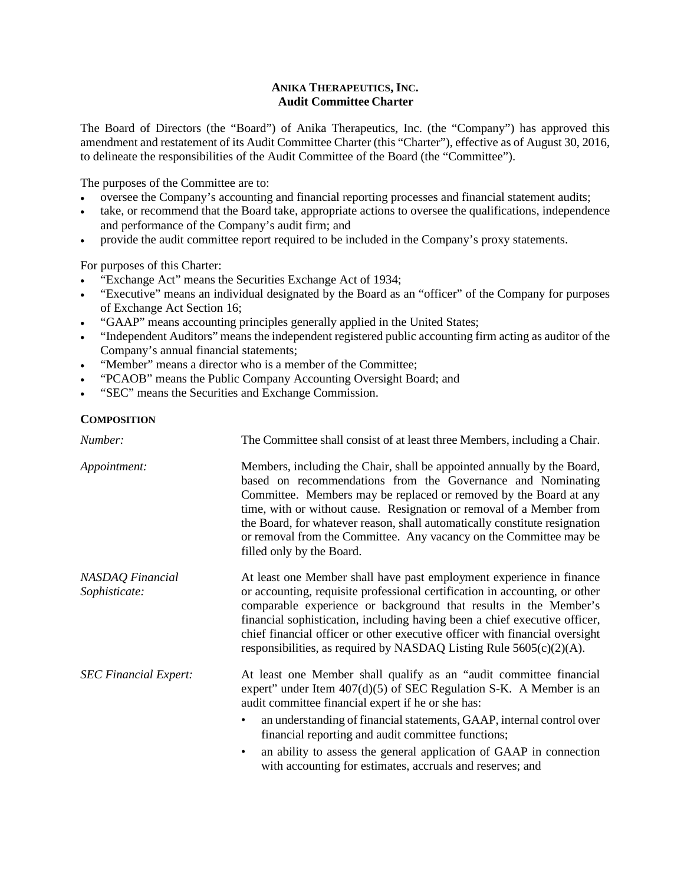## **ANIKA THERAPEUTICS, INC. Audit Committee Charter**

The Board of Directors (the "Board") of Anika Therapeutics, Inc. (the "Company") has approved this amendment and restatement of its Audit Committee Charter (this "Charter"), effective as of August 30, 2016, to delineate the responsibilities of the Audit Committee of the Board (the "Committee").

The purposes of the Committee are to:

- oversee the Company's accounting and financial reporting processes and financial statement audits;
- take, or recommend that the Board take, appropriate actions to oversee the qualifications, independence and performance of the Company's audit firm; and
- provide the audit committee report required to be included in the Company's proxy statements.

For purposes of this Charter:

- "Exchange Act" means the Securities Exchange Act of 1934;
- "Executive" means an individual designated by the Board as an "officer" of the Company for purposes of Exchange Act Section 16;
- "GAAP" means accounting principles generally applied in the United States;
- "Independent Auditors" means the independent registered public accounting firm acting as auditor of the Company's annual financial statements;
- "Member" means a director who is a member of the Committee;
- "PCAOB" means the Public Company Accounting Oversight Board; and
- "SEC" means the Securities and Exchange Commission.

## **COMPOSITION**

| Number:                           | The Committee shall consist of at least three Members, including a Chair.                                                                                                                                                                                                                                                                                                                                                                                            |
|-----------------------------------|----------------------------------------------------------------------------------------------------------------------------------------------------------------------------------------------------------------------------------------------------------------------------------------------------------------------------------------------------------------------------------------------------------------------------------------------------------------------|
| Appointment:                      | Members, including the Chair, shall be appointed annually by the Board,<br>based on recommendations from the Governance and Nominating<br>Committee. Members may be replaced or removed by the Board at any<br>time, with or without cause. Resignation or removal of a Member from<br>the Board, for whatever reason, shall automatically constitute resignation<br>or removal from the Committee. Any vacancy on the Committee may be<br>filled only by the Board. |
| NASDAQ Financial<br>Sophisticate: | At least one Member shall have past employment experience in finance<br>or accounting, requisite professional certification in accounting, or other<br>comparable experience or background that results in the Member's<br>financial sophistication, including having been a chief executive officer,<br>chief financial officer or other executive officer with financial oversight<br>responsibilities, as required by NASDAQ Listing Rule $5605(c)(2)(A)$ .       |
| <b>SEC Financial Expert:</b>      | At least one Member shall qualify as an "audit committee financial<br>expert" under Item $407(d)(5)$ of SEC Regulation S-K. A Member is an<br>audit committee financial expert if he or she has:                                                                                                                                                                                                                                                                     |
|                                   | an understanding of financial statements, GAAP, internal control over<br>$\bullet$<br>financial reporting and audit committee functions;                                                                                                                                                                                                                                                                                                                             |
|                                   | an ability to assess the general application of GAAP in connection<br>$\bullet$<br>with accounting for estimates, accruals and reserves; and                                                                                                                                                                                                                                                                                                                         |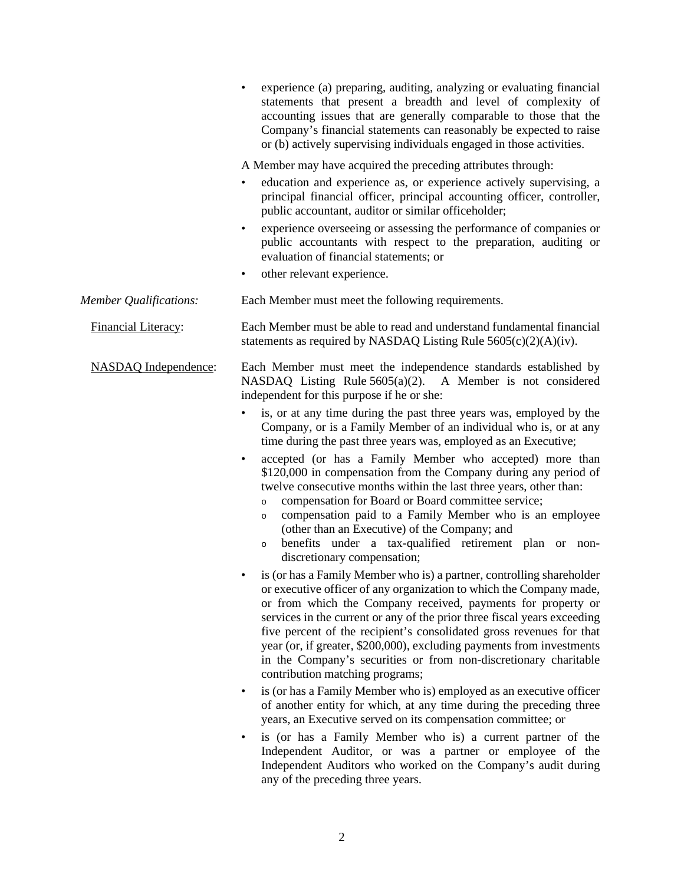|                               | experience (a) preparing, auditing, analyzing or evaluating financial<br>statements that present a breadth and level of complexity of<br>accounting issues that are generally comparable to those that the<br>Company's financial statements can reasonably be expected to raise<br>or (b) actively supervising individuals engaged in those activities.                                                                                                                                                                                                                                                                                                                                                                                                                                                                                                                  |
|-------------------------------|---------------------------------------------------------------------------------------------------------------------------------------------------------------------------------------------------------------------------------------------------------------------------------------------------------------------------------------------------------------------------------------------------------------------------------------------------------------------------------------------------------------------------------------------------------------------------------------------------------------------------------------------------------------------------------------------------------------------------------------------------------------------------------------------------------------------------------------------------------------------------|
|                               | A Member may have acquired the preceding attributes through:                                                                                                                                                                                                                                                                                                                                                                                                                                                                                                                                                                                                                                                                                                                                                                                                              |
|                               | education and experience as, or experience actively supervising, a<br>principal financial officer, principal accounting officer, controller,<br>public accountant, auditor or similar officeholder;                                                                                                                                                                                                                                                                                                                                                                                                                                                                                                                                                                                                                                                                       |
|                               | experience overseeing or assessing the performance of companies or<br>public accountants with respect to the preparation, auditing or<br>evaluation of financial statements; or                                                                                                                                                                                                                                                                                                                                                                                                                                                                                                                                                                                                                                                                                           |
|                               | other relevant experience.<br>٠                                                                                                                                                                                                                                                                                                                                                                                                                                                                                                                                                                                                                                                                                                                                                                                                                                           |
| <b>Member Qualifications:</b> | Each Member must meet the following requirements.                                                                                                                                                                                                                                                                                                                                                                                                                                                                                                                                                                                                                                                                                                                                                                                                                         |
| Financial Literacy:           | Each Member must be able to read and understand fundamental financial<br>statements as required by NASDAQ Listing Rule $5605(c)(2)(A)(iv)$ .                                                                                                                                                                                                                                                                                                                                                                                                                                                                                                                                                                                                                                                                                                                              |
| <b>NASDAQ</b> Independence:   | Each Member must meet the independence standards established by<br>NASDAQ Listing Rule 5605(a)(2). A Member is not considered<br>independent for this purpose if he or she:<br>is, or at any time during the past three years was, employed by the<br>Company, or is a Family Member of an individual who is, or at any<br>time during the past three years was, employed as an Executive;<br>accepted (or has a Family Member who accepted) more than<br>$\bullet$<br>\$120,000 in compensation from the Company during any period of<br>twelve consecutive months within the last three years, other than:<br>compensation for Board or Board committee service;<br>$\circ$<br>compensation paid to a Family Member who is an employee<br>$\circ$<br>(other than an Executive) of the Company; and<br>benefits under a tax-qualified retirement plan or non-<br>$\circ$ |
|                               | discretionary compensation;<br>is (or has a Family Member who is) a partner, controlling shareholder<br>or executive officer of any organization to which the Company made,<br>or from which the Company received, payments for property or<br>services in the current or any of the prior three fiscal years exceeding<br>five percent of the recipient's consolidated gross revenues for that<br>year (or, if greater, \$200,000), excluding payments from investments<br>in the Company's securities or from non-discretionary charitable<br>contribution matching programs;                                                                                                                                                                                                                                                                                           |
|                               | is (or has a Family Member who is) employed as an executive officer<br>$\bullet$<br>of another entity for which, at any time during the preceding three<br>years, an Executive served on its compensation committee; or                                                                                                                                                                                                                                                                                                                                                                                                                                                                                                                                                                                                                                                   |
|                               | is (or has a Family Member who is) a current partner of the<br>Independent Auditor, or was a partner or employee of the<br>Independent Auditors who worked on the Company's audit during<br>any of the preceding three years.                                                                                                                                                                                                                                                                                                                                                                                                                                                                                                                                                                                                                                             |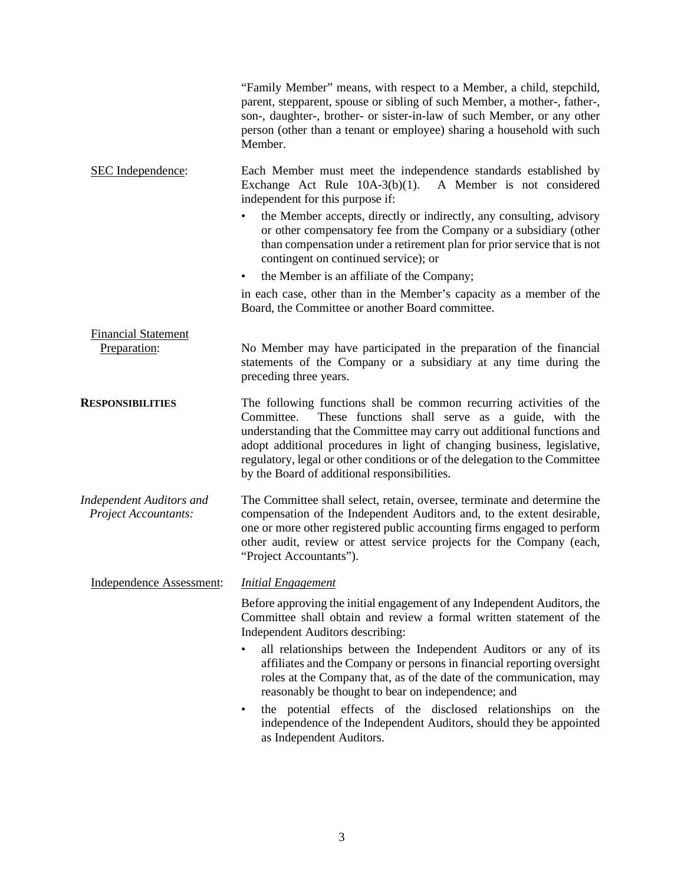|                                                                | "Family Member" means, with respect to a Member, a child, stepchild,<br>parent, stepparent, spouse or sibling of such Member, a mother-, father-,<br>son-, daughter-, brother- or sister-in-law of such Member, or any other<br>person (other than a tenant or employee) sharing a household with such<br>Member.                                                                                                          |
|----------------------------------------------------------------|----------------------------------------------------------------------------------------------------------------------------------------------------------------------------------------------------------------------------------------------------------------------------------------------------------------------------------------------------------------------------------------------------------------------------|
| SEC Independence:                                              | Each Member must meet the independence standards established by<br>Exchange Act Rule $10A-3(b)(1)$ .<br>A Member is not considered<br>independent for this purpose if:                                                                                                                                                                                                                                                     |
|                                                                | the Member accepts, directly or indirectly, any consulting, advisory<br>or other compensatory fee from the Company or a subsidiary (other<br>than compensation under a retirement plan for prior service that is not<br>contingent on continued service); or                                                                                                                                                               |
|                                                                | the Member is an affiliate of the Company;                                                                                                                                                                                                                                                                                                                                                                                 |
|                                                                | in each case, other than in the Member's capacity as a member of the<br>Board, the Committee or another Board committee.                                                                                                                                                                                                                                                                                                   |
| <b>Financial Statement</b>                                     |                                                                                                                                                                                                                                                                                                                                                                                                                            |
| Preparation:                                                   | No Member may have participated in the preparation of the financial<br>statements of the Company or a subsidiary at any time during the<br>preceding three years.                                                                                                                                                                                                                                                          |
| <b>RESPONSIBILITIES</b>                                        | The following functions shall be common recurring activities of the<br>These functions shall serve as a guide, with the<br>Committee.<br>understanding that the Committee may carry out additional functions and<br>adopt additional procedures in light of changing business, legislative,<br>regulatory, legal or other conditions or of the delegation to the Committee<br>by the Board of additional responsibilities. |
| <b>Independent Auditors and</b><br><b>Project Accountants:</b> | The Committee shall select, retain, oversee, terminate and determine the<br>compensation of the Independent Auditors and, to the extent desirable,<br>one or more other registered public accounting firms engaged to perform<br>other audit, review or attest service projects for the Company (each,<br>"Project Accountants").                                                                                          |
| Independence Assessment:                                       | <b>Initial Engagement</b>                                                                                                                                                                                                                                                                                                                                                                                                  |
|                                                                | Before approving the initial engagement of any Independent Auditors, the<br>Committee shall obtain and review a formal written statement of the<br>Independent Auditors describing:                                                                                                                                                                                                                                        |
|                                                                | all relationships between the Independent Auditors or any of its<br>affiliates and the Company or persons in financial reporting oversight<br>roles at the Company that, as of the date of the communication, may<br>reasonably be thought to bear on independence; and                                                                                                                                                    |
|                                                                | the potential effects of the disclosed relationships on the<br>$\bullet$<br>independence of the Independent Auditors, should they be appointed<br>as Independent Auditors.                                                                                                                                                                                                                                                 |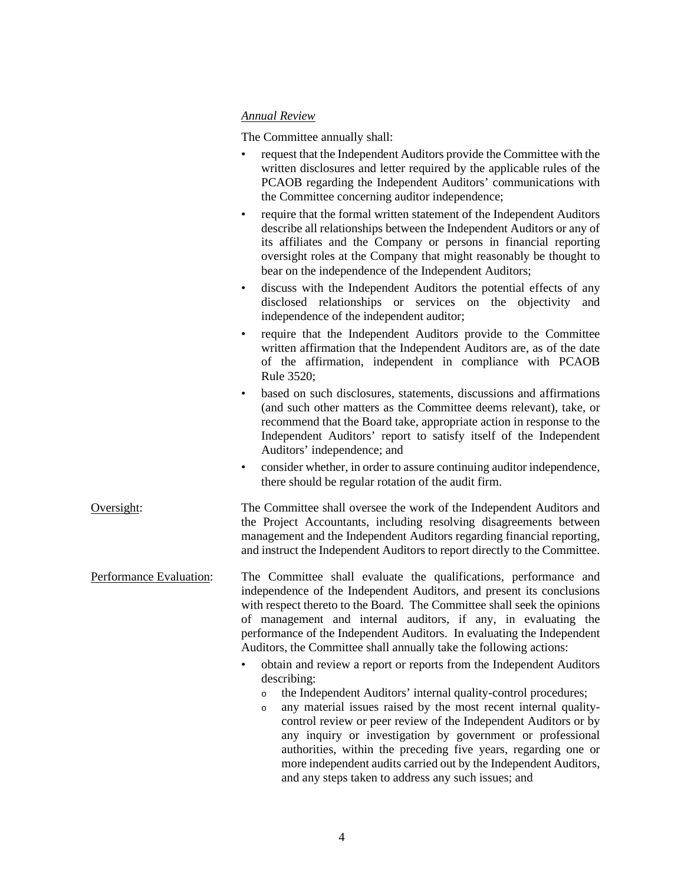## *Annual Review*

The Committee annually shall:

- request that the Independent Auditors provide the Committee with the written disclosures and letter required by the applicable rules of the PCAOB regarding the Independent Auditors' communications with the Committee concerning auditor independence;
- require that the formal written statement of the Independent Auditors describe all relationships between the Independent Auditors or any of its affiliates and the Company or persons in financial reporting oversight roles at the Company that might reasonably be thought to bear on the independence of the Independent Auditors;
- discuss with the Independent Auditors the potential effects of any disclosed relationships or services on the objectivity and independence of the independent auditor;
- require that the Independent Auditors provide to the Committee written affirmation that the Independent Auditors are, as of the date of the affirmation, independent in compliance with PCAOB Rule 3520;
- based on such disclosures, statements, discussions and affirmations (and such other matters as the Committee deems relevant), take, or recommend that the Board take, appropriate action in response to the Independent Auditors' report to satisfy itself of the Independent Auditors' independence; and
- consider whether, in order to assure continuing auditor independence, there should be regular rotation of the audit firm.

Oversight: The Committee shall oversee the work of the Independent Auditors and the Project Accountants, including resolving disagreements between management and the Independent Auditors regarding financial reporting, and instruct the Independent Auditors to report directly to the Committee.

Performance Evaluation: The Committee shall evaluate the qualifications, performance and independence of the Independent Auditors, and present its conclusions with respect thereto to the Board. The Committee shall seek the opinions of management and internal auditors, if any, in evaluating the performance of the Independent Auditors. In evaluating the Independent Auditors, the Committee shall annually take the following actions:

- obtain and review a report or reports from the Independent Auditors describing:
	- <sup>o</sup> the Independent Auditors' internal quality-control procedures;
	- <sup>o</sup> any material issues raised by the most recent internal qualitycontrol review or peer review of the Independent Auditors or by any inquiry or investigation by government or professional authorities, within the preceding five years, regarding one or more independent audits carried out by the Independent Auditors, and any steps taken to address any such issues; and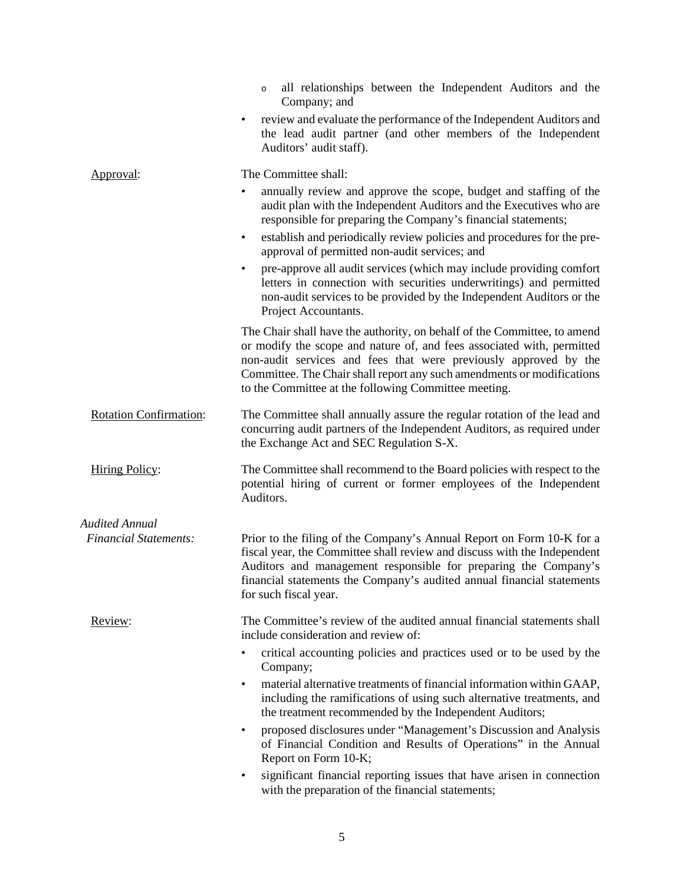|                               | all relationships between the Independent Auditors and the<br>$\circ$<br>Company; and                                                                                                                                                                                                                                                                                                                                                                                                                                                                                                                                    |
|-------------------------------|--------------------------------------------------------------------------------------------------------------------------------------------------------------------------------------------------------------------------------------------------------------------------------------------------------------------------------------------------------------------------------------------------------------------------------------------------------------------------------------------------------------------------------------------------------------------------------------------------------------------------|
|                               | review and evaluate the performance of the Independent Auditors and<br>٠<br>the lead audit partner (and other members of the Independent<br>Auditors' audit staff).                                                                                                                                                                                                                                                                                                                                                                                                                                                      |
| Approval:                     | The Committee shall:<br>annually review and approve the scope, budget and staffing of the<br>٠<br>audit plan with the Independent Auditors and the Executives who are<br>responsible for preparing the Company's financial statements;<br>establish and periodically review policies and procedures for the pre-<br>٠<br>approval of permitted non-audit services; and<br>pre-approve all audit services (which may include providing comfort<br>٠<br>letters in connection with securities underwritings) and permitted<br>non-audit services to be provided by the Independent Auditors or the<br>Project Accountants. |
|                               | The Chair shall have the authority, on behalf of the Committee, to amend<br>or modify the scope and nature of, and fees associated with, permitted<br>non-audit services and fees that were previously approved by the<br>Committee. The Chair shall report any such amendments or modifications<br>to the Committee at the following Committee meeting.                                                                                                                                                                                                                                                                 |
| <b>Rotation Confirmation:</b> | The Committee shall annually assure the regular rotation of the lead and<br>concurring audit partners of the Independent Auditors, as required under<br>the Exchange Act and SEC Regulation S-X.                                                                                                                                                                                                                                                                                                                                                                                                                         |
| <b>Hiring Policy:</b>         | The Committee shall recommend to the Board policies with respect to the<br>potential hiring of current or former employees of the Independent<br>Auditors.                                                                                                                                                                                                                                                                                                                                                                                                                                                               |
| <b>Audited Annual</b>         |                                                                                                                                                                                                                                                                                                                                                                                                                                                                                                                                                                                                                          |
| <b>Financial Statements:</b>  | Prior to the filing of the Company's Annual Report on Form 10-K for a<br>fiscal year, the Committee shall review and discuss with the Independent<br>Auditors and management responsible for preparing the Company's<br>financial statements the Company's audited annual financial statements<br>for such fiscal year.                                                                                                                                                                                                                                                                                                  |
| Review:                       | The Committee's review of the audited annual financial statements shall<br>include consideration and review of:                                                                                                                                                                                                                                                                                                                                                                                                                                                                                                          |
|                               | critical accounting policies and practices used or to be used by the<br>٠<br>Company;                                                                                                                                                                                                                                                                                                                                                                                                                                                                                                                                    |
|                               | material alternative treatments of financial information within GAAP,<br>٠<br>including the ramifications of using such alternative treatments, and<br>the treatment recommended by the Independent Auditors;                                                                                                                                                                                                                                                                                                                                                                                                            |
|                               | proposed disclosures under "Management's Discussion and Analysis<br>٠<br>of Financial Condition and Results of Operations" in the Annual<br>Report on Form 10-K;                                                                                                                                                                                                                                                                                                                                                                                                                                                         |
|                               | significant financial reporting issues that have arisen in connection<br>٠<br>with the preparation of the financial statements;                                                                                                                                                                                                                                                                                                                                                                                                                                                                                          |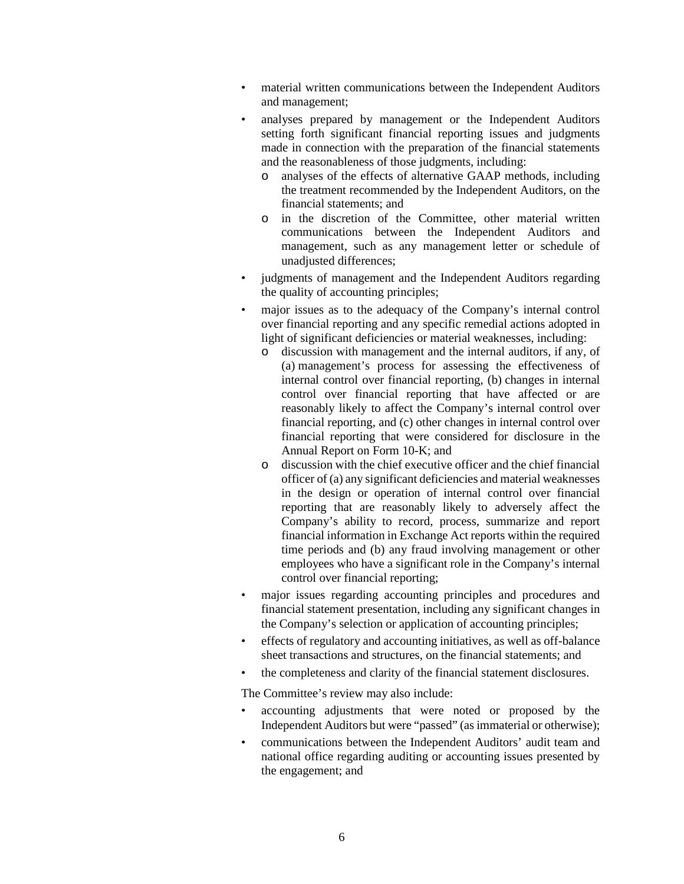- material written communications between the Independent Auditors and management;
- analyses prepared by management or the Independent Auditors setting forth significant financial reporting issues and judgments made in connection with the preparation of the financial statements and the reasonableness of those judgments, including:
	- o analyses of the effects of alternative GAAP methods, including the treatment recommended by the Independent Auditors, on the financial statements; and
	- o in the discretion of the Committee, other material written communications between the Independent Auditors and management, such as any management letter or schedule of unadjusted differences;
- judgments of management and the Independent Auditors regarding the quality of accounting principles;
- major issues as to the adequacy of the Company's internal control over financial reporting and any specific remedial actions adopted in light of significant deficiencies or material weaknesses, including:
	- o discussion with management and the internal auditors, if any, of (a) management's process for assessing the effectiveness of internal control over financial reporting, (b) changes in internal control over financial reporting that have affected or are reasonably likely to affect the Company's internal control over financial reporting, and (c) other changes in internal control over financial reporting that were considered for disclosure in the Annual Report on Form 10-K; and
	- o discussion with the chief executive officer and the chief financial officer of (a) any significant deficiencies and material weaknesses in the design or operation of internal control over financial reporting that are reasonably likely to adversely affect the Company's ability to record, process, summarize and report financial information in Exchange Act reports within the required time periods and (b) any fraud involving management or other employees who have a significant role in the Company's internal control over financial reporting;
- major issues regarding accounting principles and procedures and financial statement presentation, including any significant changes in the Company's selection or application of accounting principles;
- effects of regulatory and accounting initiatives, as well as off-balance sheet transactions and structures, on the financial statements; and
- the completeness and clarity of the financial statement disclosures.

The Committee's review may also include:

- accounting adjustments that were noted or proposed by the Independent Auditors but were "passed" (as immaterial or otherwise);
- communications between the Independent Auditors' audit team and national office regarding auditing or accounting issues presented by the engagement; and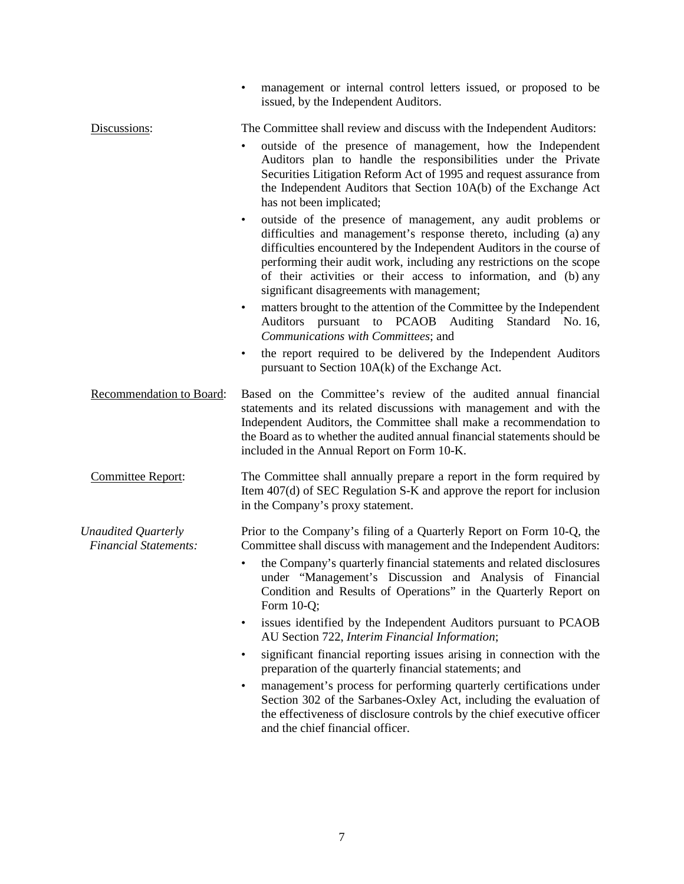|                                                            | management or internal control letters issued, or proposed to be<br>issued, by the Independent Auditors.                                                                                                                                                                                                                                                                                                                                                                                              |
|------------------------------------------------------------|-------------------------------------------------------------------------------------------------------------------------------------------------------------------------------------------------------------------------------------------------------------------------------------------------------------------------------------------------------------------------------------------------------------------------------------------------------------------------------------------------------|
| Discussions:                                               | The Committee shall review and discuss with the Independent Auditors:<br>outside of the presence of management, how the Independent<br>Auditors plan to handle the responsibilities under the Private<br>Securities Litigation Reform Act of 1995 and request assurance from<br>the Independent Auditors that Section 10A(b) of the Exchange Act<br>has not been implicated;                                                                                                                          |
|                                                            | outside of the presence of management, any audit problems or<br>$\bullet$<br>difficulties and management's response thereto, including (a) any<br>difficulties encountered by the Independent Auditors in the course of<br>performing their audit work, including any restrictions on the scope<br>of their activities or their access to information, and (b) any<br>significant disagreements with management;<br>matters brought to the attention of the Committee by the Independent<br>$\bullet$ |
|                                                            | Auditors pursuant to PCAOB Auditing Standard No. 16,<br>Communications with Committees; and                                                                                                                                                                                                                                                                                                                                                                                                           |
|                                                            | the report required to be delivered by the Independent Auditors<br>$\bullet$<br>pursuant to Section 10A(k) of the Exchange Act.                                                                                                                                                                                                                                                                                                                                                                       |
| Recommendation to Board:                                   | Based on the Committee's review of the audited annual financial<br>statements and its related discussions with management and with the<br>Independent Auditors, the Committee shall make a recommendation to<br>the Board as to whether the audited annual financial statements should be<br>included in the Annual Report on Form 10-K.                                                                                                                                                              |
| Committee Report:                                          | The Committee shall annually prepare a report in the form required by<br>Item 407(d) of SEC Regulation S-K and approve the report for inclusion<br>in the Company's proxy statement.                                                                                                                                                                                                                                                                                                                  |
| <b>Unaudited Quarterly</b><br><b>Financial Statements:</b> | Prior to the Company's filing of a Quarterly Report on Form 10-Q, the<br>Committee shall discuss with management and the Independent Auditors:<br>the Company's quarterly financial statements and related disclosures<br>$\bullet$<br>under "Management's Discussion and Analysis of Financial<br>Condition and Results of Operations" in the Quarterly Report on<br>Form 10-Q;                                                                                                                      |
|                                                            | issues identified by the Independent Auditors pursuant to PCAOB<br>$\bullet$<br>AU Section 722, Interim Financial Information;                                                                                                                                                                                                                                                                                                                                                                        |
|                                                            | significant financial reporting issues arising in connection with the<br>$\bullet$<br>preparation of the quarterly financial statements; and                                                                                                                                                                                                                                                                                                                                                          |
|                                                            | management's process for performing quarterly certifications under<br>٠<br>Section 302 of the Sarbanes-Oxley Act, including the evaluation of<br>the effectiveness of disclosure controls by the chief executive officer<br>and the chief financial officer.                                                                                                                                                                                                                                          |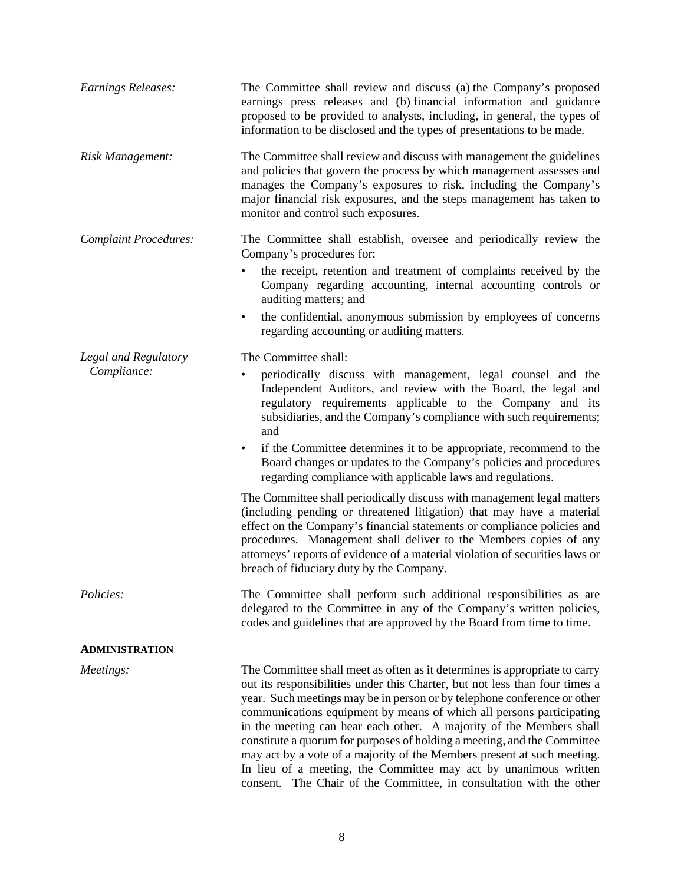| <b>Earnings Releases:</b>    | The Committee shall review and discuss (a) the Company's proposed<br>earnings press releases and (b) financial information and guidance<br>proposed to be provided to analysts, including, in general, the types of<br>information to be disclosed and the types of presentations to be made.                                                                                                                                                                                                                                                                                                                                                                                          |
|------------------------------|----------------------------------------------------------------------------------------------------------------------------------------------------------------------------------------------------------------------------------------------------------------------------------------------------------------------------------------------------------------------------------------------------------------------------------------------------------------------------------------------------------------------------------------------------------------------------------------------------------------------------------------------------------------------------------------|
| Risk Management:             | The Committee shall review and discuss with management the guidelines<br>and policies that govern the process by which management assesses and<br>manages the Company's exposures to risk, including the Company's<br>major financial risk exposures, and the steps management has taken to<br>monitor and control such exposures.                                                                                                                                                                                                                                                                                                                                                     |
| <b>Complaint Procedures:</b> | The Committee shall establish, oversee and periodically review the<br>Company's procedures for:                                                                                                                                                                                                                                                                                                                                                                                                                                                                                                                                                                                        |
|                              | the receipt, retention and treatment of complaints received by the<br>$\bullet$<br>Company regarding accounting, internal accounting controls or<br>auditing matters; and                                                                                                                                                                                                                                                                                                                                                                                                                                                                                                              |
|                              | the confidential, anonymous submission by employees of concerns<br>$\bullet$<br>regarding accounting or auditing matters.                                                                                                                                                                                                                                                                                                                                                                                                                                                                                                                                                              |
| Legal and Regulatory         | The Committee shall:                                                                                                                                                                                                                                                                                                                                                                                                                                                                                                                                                                                                                                                                   |
| Compliance:                  | periodically discuss with management, legal counsel and the<br>٠<br>Independent Auditors, and review with the Board, the legal and<br>regulatory requirements applicable to the Company and its<br>subsidiaries, and the Company's compliance with such requirements;<br>and                                                                                                                                                                                                                                                                                                                                                                                                           |
|                              | if the Committee determines it to be appropriate, recommend to the<br>$\bullet$<br>Board changes or updates to the Company's policies and procedures<br>regarding compliance with applicable laws and regulations.                                                                                                                                                                                                                                                                                                                                                                                                                                                                     |
|                              | The Committee shall periodically discuss with management legal matters<br>(including pending or threatened litigation) that may have a material<br>effect on the Company's financial statements or compliance policies and<br>procedures. Management shall deliver to the Members copies of any<br>attorneys' reports of evidence of a material violation of securities laws or<br>breach of fiduciary duty by the Company.                                                                                                                                                                                                                                                            |
| Policies:                    | The Committee shall perform such additional responsibilities as are<br>delegated to the Committee in any of the Company's written policies,<br>codes and guidelines that are approved by the Board from time to time.                                                                                                                                                                                                                                                                                                                                                                                                                                                                  |
| <b>ADMINISTRATION</b>        |                                                                                                                                                                                                                                                                                                                                                                                                                                                                                                                                                                                                                                                                                        |
| Meetings:                    | The Committee shall meet as often as it determines is appropriate to carry<br>out its responsibilities under this Charter, but not less than four times a<br>year. Such meetings may be in person or by telephone conference or other<br>communications equipment by means of which all persons participating<br>in the meeting can hear each other. A majority of the Members shall<br>constitute a quorum for purposes of holding a meeting, and the Committee<br>may act by a vote of a majority of the Members present at such meeting.<br>In lieu of a meeting, the Committee may act by unanimous written<br>consent. The Chair of the Committee, in consultation with the other |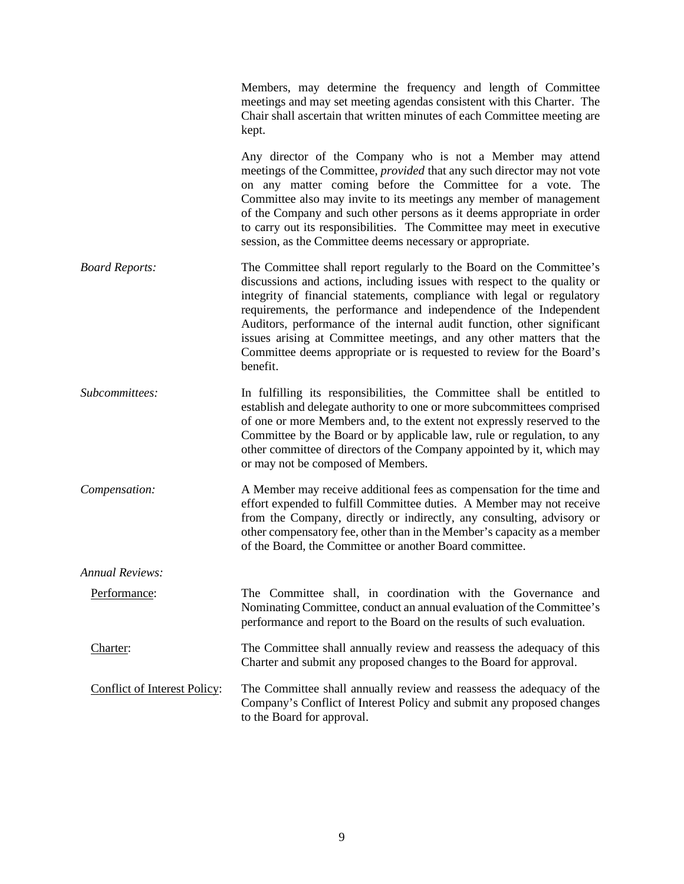|                                     | Members, may determine the frequency and length of Committee<br>meetings and may set meeting agendas consistent with this Charter. The<br>Chair shall ascertain that written minutes of each Committee meeting are<br>kept.                                                                                                                                                                                                                                                                                                             |
|-------------------------------------|-----------------------------------------------------------------------------------------------------------------------------------------------------------------------------------------------------------------------------------------------------------------------------------------------------------------------------------------------------------------------------------------------------------------------------------------------------------------------------------------------------------------------------------------|
|                                     | Any director of the Company who is not a Member may attend<br>meetings of the Committee, <i>provided</i> that any such director may not vote<br>on any matter coming before the Committee for a vote. The<br>Committee also may invite to its meetings any member of management<br>of the Company and such other persons as it deems appropriate in order<br>to carry out its responsibilities. The Committee may meet in executive<br>session, as the Committee deems necessary or appropriate.                                        |
| <b>Board Reports:</b>               | The Committee shall report regularly to the Board on the Committee's<br>discussions and actions, including issues with respect to the quality or<br>integrity of financial statements, compliance with legal or regulatory<br>requirements, the performance and independence of the Independent<br>Auditors, performance of the internal audit function, other significant<br>issues arising at Committee meetings, and any other matters that the<br>Committee deems appropriate or is requested to review for the Board's<br>benefit. |
| Subcommittees:                      | In fulfilling its responsibilities, the Committee shall be entitled to<br>establish and delegate authority to one or more subcommittees comprised<br>of one or more Members and, to the extent not expressly reserved to the<br>Committee by the Board or by applicable law, rule or regulation, to any<br>other committee of directors of the Company appointed by it, which may<br>or may not be composed of Members.                                                                                                                 |
| Compensation:                       | A Member may receive additional fees as compensation for the time and<br>effort expended to fulfill Committee duties. A Member may not receive<br>from the Company, directly or indirectly, any consulting, advisory or<br>other compensatory fee, other than in the Member's capacity as a member<br>of the Board, the Committee or another Board committee.                                                                                                                                                                           |
| Annual Reviews:                     |                                                                                                                                                                                                                                                                                                                                                                                                                                                                                                                                         |
| Performance:                        | The Committee shall, in coordination with the Governance and<br>Nominating Committee, conduct an annual evaluation of the Committee's<br>performance and report to the Board on the results of such evaluation.                                                                                                                                                                                                                                                                                                                         |
| Charter:                            | The Committee shall annually review and reassess the adequacy of this<br>Charter and submit any proposed changes to the Board for approval.                                                                                                                                                                                                                                                                                                                                                                                             |
| <b>Conflict of Interest Policy:</b> | The Committee shall annually review and reassess the adequacy of the<br>Company's Conflict of Interest Policy and submit any proposed changes<br>to the Board for approval.                                                                                                                                                                                                                                                                                                                                                             |